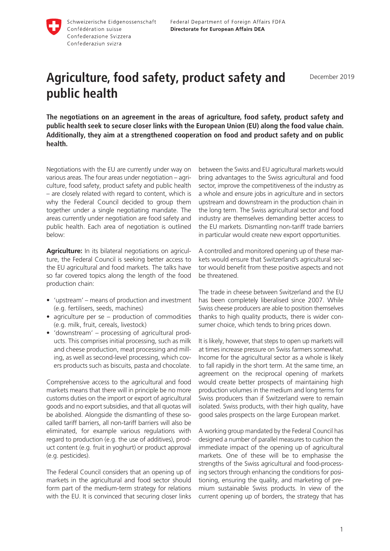

## **Agriculture, food safety, product safety and public health**

**The negotiations on an agreement in the areas of agriculture, food safety, product safety and public health seek to secure closer links with the European Union (EU) along the food value chain. Additionally, they aim at a strengthened cooperation on food and product safety and on public health.**

Negotiations with the EU are currently under way on various areas. The four areas under negotiation – agriculture, food safety, product safety and public health – are closely related with regard to content, which is why the Federal Council decided to group them together under a single negotiating mandate. The areas currently under negotiation are food safety and public health. Each area of negotiation is outlined below:

**Agriculture:** In its bilateral negotiations on agriculture, the Federal Council is seeking better access to the EU agricultural and food markets. The talks have so far covered topics along the length of the food production chain:

- 'upstream' means of production and investment (e.g. fertilisers, seeds, machines)
- agriculture per se production of commodities (e.g. milk, fruit, cereals, livestock)
- 'downstream' processing of agricultural products. This comprises initial processing, such as milk and cheese production, meat processing and milling, as well as second-level processing, which covers products such as biscuits, pasta and chocolate.

Comprehensive access to the agricultural and food markets means that there will in principle be no more customs duties on the import or export of agricultural goods and no export subsidies, and that all quotas will be abolished. Alongside the dismantling of these socalled tariff barriers, all non-tariff barriers will also be eliminated, for example various regulations with regard to production (e.g. the use of additives), product content (e.g. fruit in yoghurt) or product approval (e.g. pesticides).

The Federal Council considers that an opening up of markets in the agricultural and food sector should form part of the medium-term strategy for relations with the EU. It is convinced that securing closer links

between the Swiss and EU agricultural markets would bring advantages to the Swiss agricultural and food sector, improve the competitiveness of the industry as a whole and ensure jobs in agriculture and in sectors upstream and downstream in the production chain in the long term. The Swiss agricultural sector and food industry are themselves demanding better access to the EU markets. Dismantling non-tariff trade barriers in particular would create new export opportunities.

A controlled and monitored opening up of these markets would ensure that Switzerland's agricultural sector would benefit from these positive aspects and not be threatened.

The trade in cheese between Switzerland and the EU has been completely liberalised since 2007. While Swiss cheese producers are able to position themselves thanks to high quality products, there is wider consumer choice, which tends to bring prices down.

It is likely, however, that steps to open up markets will at times increase pressure on Swiss farmers somewhat. Income for the agricultural sector as a whole is likely to fall rapidly in the short term. At the same time, an agreement on the reciprocal opening of markets would create better prospects of maintaining high production volumes in the medium and long terms for Swiss producers than if Switzerland were to remain isolated. Swiss products, with their high quality, have good sales prospects on the large European market.

A working group mandated by the Federal Council has designed a number of parallel measures to cushion the immediate impact of the opening up of agricultural markets. One of these will be to emphasise the strengths of the Swiss agricultural and food-processing sectors through enhancing the conditions for positioning, ensuring the quality, and marketing of premium sustainable Swiss products. In view of the current opening up of borders, the strategy that has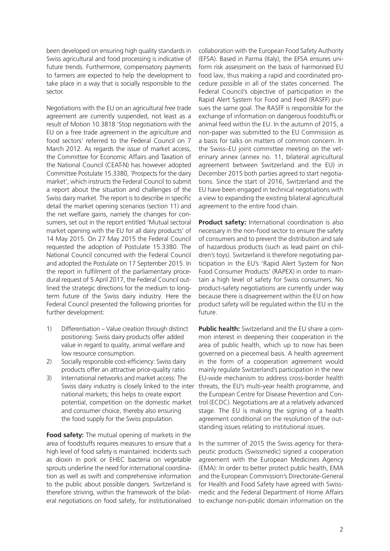been developed on ensuring high quality standards in Swiss agricultural and food processing is indicative of future trends. Furthermore, compensatory payments to farmers are expected to help the development to take place in a way that is socially responsible to the sector.

Negotiations with the EU on an agricultural free trade agreement are currently suspended, not least as a result of Motion 10.3818 'Stop negotiations with the EU on a free trade agreement in the agriculture and food sectors' referred to the Federal Council on 7 March 2012. As regards the issue of market access, the Committee for Economic Affairs and Taxation of the National Council (CEAT-N) has however adopted Committee Postulate 15.3380, 'Prospects for the dairy market', which instructs the Federal Council to submit a report about the situation and challenges of the Swiss dairy market. The report is to describe in specific detail the market opening scenarios (section 11) and the net welfare gains, namely the changes for consumers, set out in the report entitled 'Mutual sectoral market opening with the EU for all dairy products' of 14 May 2015. On 27 May 2015 the Federal Council requested the adoption of Postulate 15.3380. The National Council concurred with the Federal Council and adopted the Postulate on 17 September 2015. In the report in fulfilment of the parliamentary procedural request of 5 April 2017, the Federal Council outlined the strategic directions for the medium to longterm future of the Swiss dairy industry. Here the Federal Council presented the following priorities for further development:

- 1) Differentiation Value creation through distinct positioning: Swiss dairy products offer added value in regard to quality, animal welfare and low resource consumption.
- 2) Socially responsible cost-efficiency: Swiss dairy products offer an attractive price-quality ratio.
- 3) International networks and market access: The national markets; this helps to create export potential, competition on the domestic market and consumer choice, thereby also ensuring the food supply for the Swiss population.

**Food safety:** The mutual opening of markets in the area of foodstuffs requires measures to ensure that a high level of food safety is maintained. Incidents such as dioxin in pork or EHEC bacteria on vegetable sprouts underline the need for international coordination as well as swift and comprehensive information to the public about possible dangers. Switzerland is therefore striving, within the framework of the bilateral negotiations on food safety, for institutionalised

collaboration with the European Food Safety Authority (EFSA). Based in Parma (Italy), the EFSA ensures uniform risk assessment on the basis of harmonised EU food law, thus making a rapid and coordinated procedure possible in all of the states concerned. The Federal Council's objective of participation in the Rapid Alert System for Food and Feed (RASFF) pursues the same goal. The RASFF is responsible for the exchange of information on dangerous foodstuffs or animal feed within the EU. In the autumn of 2015, a non-paper was submitted to the EU Commission as a basis for talks on matters of common concern. In the Swiss–EU joint committee meeting on the veterinary annex (annex no. 11, bilateral agricultural agreement between Switzerland and the EU) in December 2015 both parties agreed to start negotiations. Since the start of 2016, Switzerland and the EU have been engaged in technical negotiations with a view to expanding the existing bilateral agricultural agreement to the entire food chain.

**Product safety:** International coordination is also necessary in the non-food sector to ensure the safety of consumers and to prevent the distribution and sale of hazardous products (such as lead paint on children's toys). Switzerland is therefore negotiating participation in the EU's 'Rapid Alert System for Non Food Consumer Products' (RAPEX) in order to maintain a high level of safety for Swiss consumers. No product-safety negotiations are currently under way because there is disagreement within the EU on how product safety will be regulated within the EU in the future.

Swiss dairy industry is closely linked to the inter threats, the EU's multi-year health programme, and **Public health:** Switzerland and the EU share a common interest in deepening their cooperation in the area of public health, which up to now has been governed on a piecemeal basis. A health agreement in the form of a cooperation agreement would mainly regulate Switzerland's participation in the new EU-wide mechanism to address cross-border health the European Centre for Disease Prevention and Control (ECDC). Negotiations are at a relatively advanced stage. The EU is making the signing of a health agreement conditional on the resolution of the outstanding issues relating to institutional issues.

> In the summer of 2015 the Swiss agency for therapeutic products (Swissmedic) signed a cooperation agreement with the European Medicines Agency (EMA): In order to better protect public health, EMA and the European Commission's Directorate-General for Health and Food Safety have agreed with Swissmedic and the Federal Department of Home Affairs to exchange non-public domain information on the